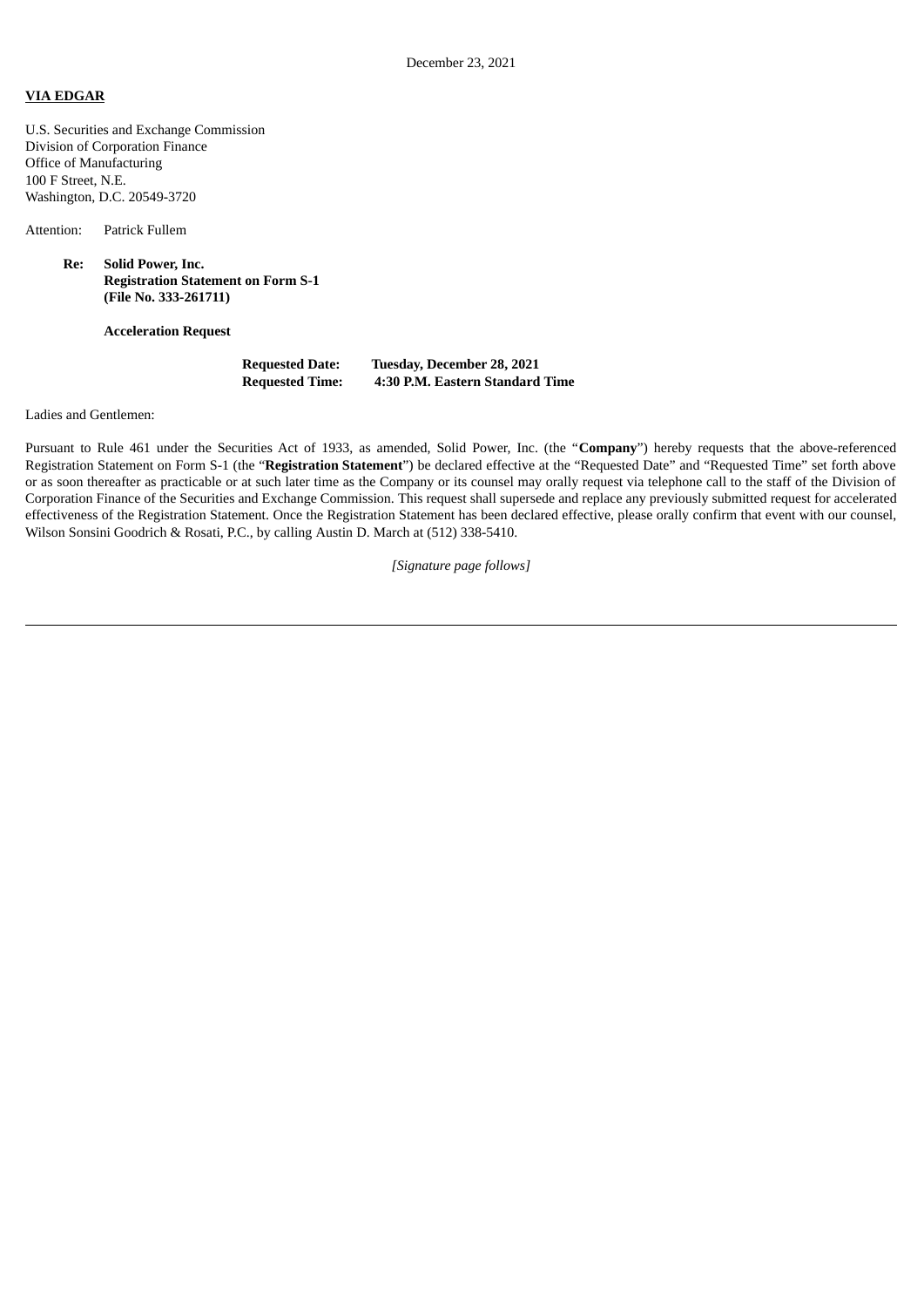## **VIA EDGAR**

U.S. Securities and Exchange Commission Division of Corporation Finance Office of Manufacturing 100 F Street, N.E. Washington, D.C. 20549-3720

Attention: Patrick Fullem

**Re: Solid Power, Inc. Registration Statement on Form S-1 (File No. 333-261711)**

**Acceleration Request**

| <b>Requested Date:</b> | Tuesday, December 28, 2021      |
|------------------------|---------------------------------|
| <b>Requested Time:</b> | 4:30 P.M. Eastern Standard Time |

Ladies and Gentlemen:

Pursuant to Rule 461 under the Securities Act of 1933, as amended, Solid Power, Inc. (the "**Company**") hereby requests that the above-referenced Registration Statement on Form S-1 (the "**Registration Statement**") be declared effective at the "Requested Date" and "Requested Time" set forth above or as soon thereafter as practicable or at such later time as the Company or its counsel may orally request via telephone call to the staff of the Division of Corporation Finance of the Securities and Exchange Commission. This request shall supersede and replace any previously submitted request for accelerated effectiveness of the Registration Statement. Once the Registration Statement has been declared effective, please orally confirm that event with our counsel, Wilson Sonsini Goodrich & Rosati, P.C., by calling Austin D. March at (512) 338-5410.

*[Signature page follows]*